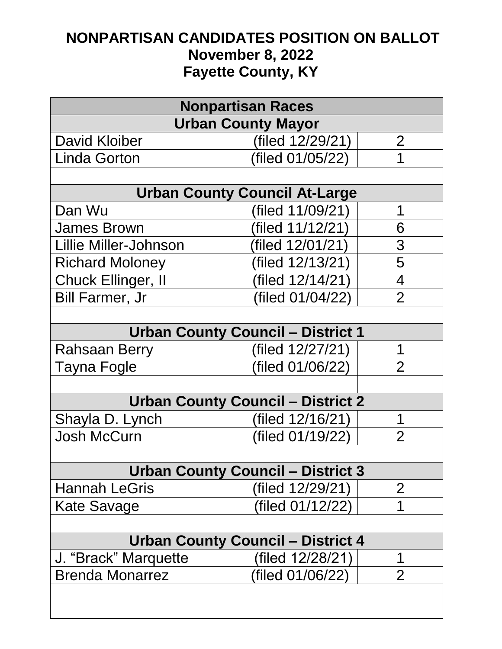## **NONPARTISAN CANDIDATES POSITION ON BALLOT November 8, 2022 Fayette County, KY**

| <b>Nonpartisan Races</b>                 |                  |                |  |
|------------------------------------------|------------------|----------------|--|
| <b>Urban County Mayor</b>                |                  |                |  |
| <b>David Kloiber</b>                     | (filed 12/29/21) | $\overline{2}$ |  |
| <b>Linda Gorton</b>                      | (filed 01/05/22) | 1              |  |
|                                          |                  |                |  |
| <b>Urban County Council At-Large</b>     |                  |                |  |
| Dan Wu                                   | (filed 11/09/21) | 1              |  |
| <b>James Brown</b>                       | (filed 11/12/21) | 6              |  |
| <b>Lillie Miller-Johnson</b>             | (filed 12/01/21) | 3              |  |
| <b>Richard Moloney</b>                   | (filed 12/13/21) | 5              |  |
| Chuck Ellinger, II                       | (filed 12/14/21) | $\overline{4}$ |  |
| <b>Bill Farmer, Jr</b>                   | (filed 01/04/22) | $\overline{2}$ |  |
|                                          |                  |                |  |
| <b>Urban County Council - District 1</b> |                  |                |  |
| Rahsaan Berry                            | (filed 12/27/21) | 1              |  |
| Tayna Fogle                              | (filed 01/06/22) | $\overline{2}$ |  |
|                                          |                  |                |  |
| <b>Urban County Council - District 2</b> |                  |                |  |
| Shayla D. Lynch                          | (filed 12/16/21) | 1              |  |
| Josh McCurn                              | (filed 01/19/22) | $\overline{2}$ |  |
|                                          |                  |                |  |
| <b>Urban County Council - District 3</b> |                  |                |  |
| <b>Hannah LeGris</b>                     | (filed 12/29/21) | $\mathbf{2}$   |  |
| Kate Savage                              | (filed 01/12/22) | 1              |  |
|                                          |                  |                |  |
| Urban County Council – District 4        |                  |                |  |
| J. "Brack" Marquette                     | (filed 12/28/21) | 1              |  |
| <b>Brenda Monarrez</b>                   | (filed 01/06/22) | $\overline{2}$ |  |
|                                          |                  |                |  |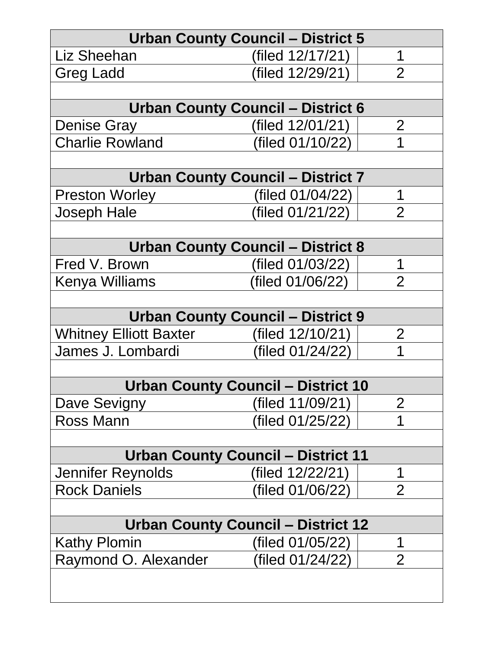| <b>Urban County Council - District 5</b>  |                                           |                |  |  |
|-------------------------------------------|-------------------------------------------|----------------|--|--|
| Liz Sheehan                               | (filed 12/17/21)                          | 1              |  |  |
| Greg Ladd                                 | (filed 12/29/21)                          | $\overline{2}$ |  |  |
|                                           |                                           |                |  |  |
| <b>Urban County Council - District 6</b>  |                                           |                |  |  |
| <b>Denise Gray</b>                        | (filed 12/01/21)                          | $\overline{2}$ |  |  |
| <b>Charlie Rowland</b>                    | (filed 01/10/22)                          | 1              |  |  |
|                                           |                                           |                |  |  |
|                                           | <b>Urban County Council - District 7</b>  |                |  |  |
| <b>Preston Worley</b>                     | (filed 01/04/22)                          | 1              |  |  |
| Joseph Hale                               | (filed 01/21/22)                          | $\mathcal{P}$  |  |  |
|                                           |                                           |                |  |  |
| <b>Urban County Council - District 8</b>  |                                           |                |  |  |
| Fred V. Brown                             | (filed 01/03/22)                          | 1              |  |  |
| Kenya Williams                            | (filed 01/06/22)                          | $\mathcal{P}$  |  |  |
|                                           |                                           |                |  |  |
| <b>Urban County Council - District 9</b>  |                                           |                |  |  |
| <b>Whitney Elliott Baxter</b>             | (filed $12/10/21$ )                       | $\overline{2}$ |  |  |
| James J. Lombardi                         | (filed 01/24/22)                          | 1              |  |  |
|                                           |                                           |                |  |  |
| <b>Urban County Council - District 10</b> |                                           |                |  |  |
| Dave Sevigny                              | (filed 11/09/21)                          | $\overline{2}$ |  |  |
| <b>Ross Mann</b>                          | (filed 01/25/22)                          | 1              |  |  |
|                                           |                                           |                |  |  |
|                                           | <b>Urban County Council - District 11</b> |                |  |  |
| Jennifer Reynolds                         | (filed 12/22/21)                          | 1              |  |  |
| <b>Rock Daniels</b>                       | (filed 01/06/22)                          | $\overline{2}$ |  |  |
|                                           |                                           |                |  |  |
| <b>Urban County Council - District 12</b> |                                           |                |  |  |
| Kathy Plomin                              | (filed 01/05/22)                          | 1              |  |  |
| Raymond O. Alexander                      | (filed 01/24/22)                          | $\overline{2}$ |  |  |
|                                           |                                           |                |  |  |
|                                           |                                           |                |  |  |